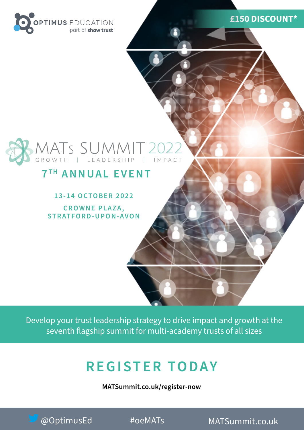

#### **£150 DISCOUNT\***

# MATS SUMMIT 2022

#### **7 T H ANNUAL EVENT**

**13-14 OCTOBER 2022**

**CROWNE PLAZA, STRATFORD-UPON-AVON**

Develop your trust leadership strategy to drive impact and growth at the seventh flagship summit for multi-academy trusts of all sizes

# **REGISTER TODAY**

**[MATSummit.co.uk/register-now](http://MATSummit.co.uk/register-now)**

**[MATSummit.co.uk](http://MATSummit.co.uk) • 020 8315 1506** @OptimusEd #oeMATs [MATSummit.co.uk](http://MATSummit.co.uk)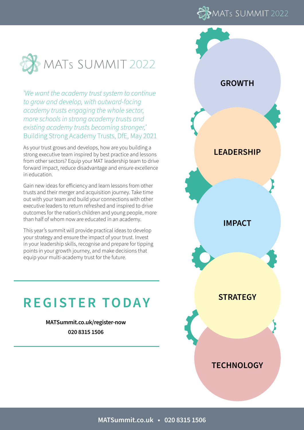



*'We want the academy trust system to continue to grow and develop, with outward-facing academy trusts engaging the whole sector, more schools in strong academy trusts and existing academy trusts becoming stronger,'*  Building Strong Academy Trusts, DfE, May 2021

As your trust grows and develops, how are you building a strong executive team inspired by best practice and lessons from other sectors? Equip your MAT leadership team to drive forward impact, reduce disadvantage and ensure excellence in education.

Gain new ideas for efficiency and learn lessons from other trusts and their merger and acquisition journey. Take time out with your team and build your connections with other executive leaders to return refreshed and inspired to drive outcomes for the nation's children and young people, more than half of whom now are educated in an academy.

This year's summit will provide practical ideas to develop your strategy and ensure the impact of your trust. Invest in your leadership skills, recognise and prepare for tipping points in your growth journey, and make decisions that equip your multi-academy trust for the future.

### **REGISTER TODAY**

**[MATSummit.co.uk/register-now](http://MATSummit.co.uk/register-now)  020 8315 1506**